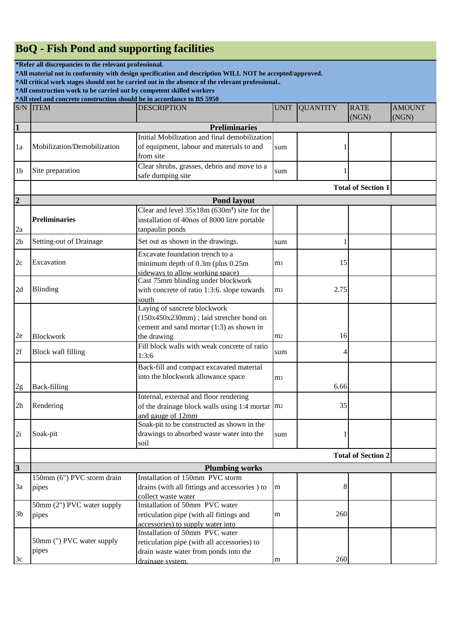## **BoQ - Fish Pond and supporting facilities**

**\*Refer all discrepancies to the relevant professional.**

**\*All material not in conformity with design specification and description WILL NOT be accepted/approved.**

**\*All critical work stages should not be carried out in the absence of the relevant professional..**

**\*All construction work to be carried out by competent skilled workers**

|                         | *All steel and concrete construction should be in accordance to BS 5950 |                                                          |                |                 |                           |                        |  |
|-------------------------|-------------------------------------------------------------------------|----------------------------------------------------------|----------------|-----------------|---------------------------|------------------------|--|
|                         | <b>S/N ITEM</b>                                                         | <b>DESCRIPTION</b>                                       | <b>UNIT</b>    | <b>QUANTITY</b> | <b>RATE</b><br>(NGN)      | <b>AMOUNT</b><br>(NGN) |  |
| $\vert$ 1               |                                                                         | <b>Preliminaries</b>                                     |                |                 |                           |                        |  |
|                         |                                                                         | Initial Mobilization and final demobilization            |                |                 |                           |                        |  |
| 1a                      | Mobilization/Demobilization                                             | of equipment, labour and materials to and                | sum            |                 |                           |                        |  |
|                         |                                                                         | from site                                                |                |                 |                           |                        |  |
|                         |                                                                         | Clear shrubs, grasses, debris and move to a              |                |                 |                           |                        |  |
| 1b                      | Site preparation                                                        | safe dumping site                                        | sum            |                 |                           |                        |  |
|                         | <b>Total of Section 1</b>                                               |                                                          |                |                 |                           |                        |  |
| $\overline{2}$          | <b>Pond layout</b>                                                      |                                                          |                |                 |                           |                        |  |
|                         |                                                                         | Clear and level 35x18m (630m <sup>3</sup> ) site for the |                |                 |                           |                        |  |
|                         | <b>Preliminaries</b>                                                    | installation of 40nos of 8000 litre portable             |                |                 |                           |                        |  |
| 2a                      |                                                                         | tanpaulin ponds                                          |                |                 |                           |                        |  |
| 2 <sub>b</sub>          | Setting-out of Drainage                                                 | Set out as shown in the drawings.                        | sum            |                 |                           |                        |  |
|                         |                                                                         | Excavate foundation trench to a                          |                |                 |                           |                        |  |
| 2c                      | Excavation                                                              | minimum depth of 0.3m (plus 0.25m)                       | m <sub>3</sub> | 15              |                           |                        |  |
|                         |                                                                         | sideways to allow working space)                         |                |                 |                           |                        |  |
|                         |                                                                         | Cast 75mm blinding under blockwork                       |                |                 |                           |                        |  |
| 2d                      | Blinding                                                                | with concrete of ratio 1:3:6. slope towards              | m <sub>3</sub> | 2.75            |                           |                        |  |
|                         |                                                                         | south                                                    |                |                 |                           |                        |  |
|                         |                                                                         | Laying of sancrete blockwork                             |                |                 |                           |                        |  |
|                         |                                                                         | (150x450x230mm); laid stretcher bond on                  |                |                 |                           |                        |  |
|                         |                                                                         | cement and sand mortar (1:3) as shown in                 |                |                 |                           |                        |  |
| 2e                      | <b>Blockwork</b>                                                        | the drawing                                              | m <sub>2</sub> | 16              |                           |                        |  |
| 2f                      | <b>Block wall filling</b>                                               | Fill block walls with weak concrete of ratio             |                |                 |                           |                        |  |
|                         |                                                                         | 1:3:6                                                    | sum            |                 |                           |                        |  |
|                         |                                                                         | Back-fill and compact excavated material                 |                |                 |                           |                        |  |
|                         |                                                                         | into the blockwork allowance space                       | m <sub>3</sub> |                 |                           |                        |  |
| 2g                      | <b>Back-filling</b>                                                     |                                                          |                | 6.66            |                           |                        |  |
|                         |                                                                         | Internal, external and floor rendering                   |                |                 |                           |                        |  |
| 2 <sub>h</sub>          | Rendering                                                               | of the drainage block walls using 1:4 mortar $ m_2 $     |                | 35              |                           |                        |  |
|                         |                                                                         | and gauge of 12mm                                        |                |                 |                           |                        |  |
|                         |                                                                         | Soak-pit to be constructed as shown in the               |                |                 |                           |                        |  |
| 2i                      | Soak-pit                                                                | drawings to absorbed waste water into the                | sum            |                 |                           |                        |  |
|                         |                                                                         | soil                                                     |                |                 |                           |                        |  |
|                         |                                                                         |                                                          |                |                 | <b>Total of Section 2</b> |                        |  |
| $\overline{\mathbf{3}}$ |                                                                         | <b>Plumbing works</b>                                    |                |                 |                           |                        |  |
|                         | 150mm (6") PVC storm drain                                              | Installation of 150mm PVC storm                          |                |                 |                           |                        |  |
| 3a                      | pipes                                                                   | drains (with all fittings and accessories) to            | m              | 8               |                           |                        |  |
|                         |                                                                         | collect waste water                                      |                |                 |                           |                        |  |
|                         | 50mm (2") PVC water supply                                              | Installation of 50mm PVC water                           |                |                 |                           |                        |  |
| 3b                      | pipes                                                                   | reticulation pipe (with all fittings and                 | m              | 260             |                           |                        |  |
|                         |                                                                         | accessories) to supply water into                        |                |                 |                           |                        |  |
|                         |                                                                         | Installation of 50mm PVC water                           |                |                 |                           |                        |  |
|                         | 50mm (") PVC water supply                                               | reticulation pipe (with all accessories) to              |                |                 |                           |                        |  |
|                         | pipes                                                                   | drain waste water from ponds into the                    |                |                 |                           |                        |  |
| 3c                      |                                                                         | drainage system.                                         | m              | 260             |                           |                        |  |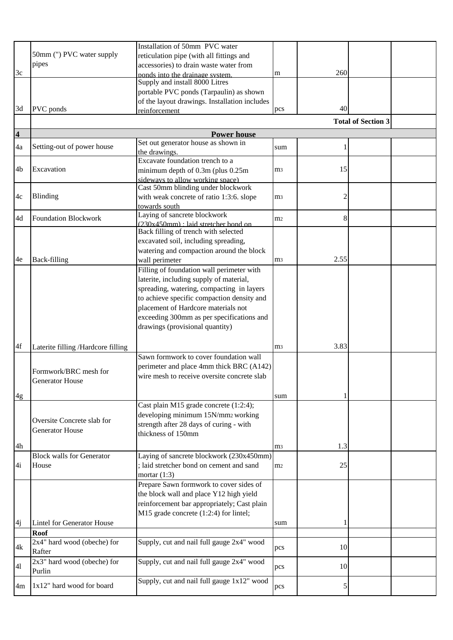|                         |                                    | Installation of 50mm PVC water                                               |                |      |                           |  |
|-------------------------|------------------------------------|------------------------------------------------------------------------------|----------------|------|---------------------------|--|
|                         | 50mm (") PVC water supply          | reticulation pipe (with all fittings and                                     |                |      |                           |  |
|                         | pipes                              | accessories) to drain waste water from                                       |                |      |                           |  |
| 3c                      |                                    | ponds into the drainage system.                                              | m              | 260  |                           |  |
|                         |                                    | Supply and install 8000 Litres                                               |                |      |                           |  |
|                         |                                    | portable PVC ponds (Tarpaulin) as shown                                      |                |      |                           |  |
|                         |                                    | of the layout drawings. Installation includes                                |                |      |                           |  |
| 3d                      | PVC ponds                          | reinforcement                                                                | pcs            | 40   |                           |  |
|                         |                                    |                                                                              |                |      | <b>Total of Section 3</b> |  |
|                         |                                    |                                                                              |                |      |                           |  |
| $\overline{\mathbf{4}}$ |                                    | <b>Power house</b>                                                           |                |      |                           |  |
| 4a                      | Setting-out of power house         | Set out generator house as shown in                                          | sum            |      |                           |  |
|                         |                                    | the drawings.                                                                |                |      |                           |  |
|                         | Excavation                         | Excavate foundation trench to a                                              |                |      |                           |  |
| 4b                      |                                    | minimum depth of 0.3m (plus 0.25m)                                           | m <sub>3</sub> | 15   |                           |  |
|                         |                                    | sideways to allow working space)<br>Cast 50mm blinding under blockwork       |                |      |                           |  |
|                         |                                    |                                                                              |                |      |                           |  |
| 4c                      | Blinding                           | with weak concrete of ratio 1:3:6. slope                                     | m <sub>3</sub> | 2    |                           |  |
|                         |                                    | towards south                                                                |                |      |                           |  |
| 4d                      | <b>Foundation Blockwork</b>        | Laying of sancrete blockwork                                                 | m <sub>2</sub> | 8    |                           |  |
|                         |                                    | (230x450mm) : laid stretcher bond on<br>Back filling of trench with selected |                |      |                           |  |
|                         |                                    | excavated soil, including spreading,                                         |                |      |                           |  |
|                         |                                    |                                                                              |                |      |                           |  |
|                         |                                    | watering and compaction around the block                                     |                | 2.55 |                           |  |
| 4e                      | Back-filling                       | wall perimeter                                                               | m <sub>3</sub> |      |                           |  |
|                         |                                    | Filling of foundation wall perimeter with                                    |                |      |                           |  |
|                         |                                    | laterite, including supply of material,                                      |                |      |                           |  |
|                         |                                    | spreading, watering, compacting in layers                                    |                |      |                           |  |
|                         |                                    | to achieve specific compaction density and                                   |                |      |                           |  |
|                         |                                    | placement of Hardcore materials not                                          |                |      |                           |  |
|                         |                                    | exceeding 300mm as per specifications and                                    |                |      |                           |  |
|                         |                                    | drawings (provisional quantity)                                              |                |      |                           |  |
|                         |                                    |                                                                              |                |      |                           |  |
| 4f                      | Laterite filling /Hardcore filling |                                                                              | m <sub>3</sub> | 3.83 |                           |  |
|                         |                                    | Sawn formwork to cover foundation wall                                       |                |      |                           |  |
|                         |                                    | perimeter and place 4mm thick BRC (A142)                                     |                |      |                           |  |
|                         | Formwork/BRC mesh for              | wire mesh to receive oversite concrete slab                                  |                |      |                           |  |
|                         | <b>Generator House</b>             |                                                                              |                |      |                           |  |
|                         |                                    |                                                                              | sum            |      |                           |  |
| 4g                      |                                    | Cast plain M15 grade concrete (1:2:4);                                       |                |      |                           |  |
|                         |                                    |                                                                              |                |      |                           |  |
|                         | Oversite Concrete slab for         | developing minimum 15N/mm2 working                                           |                |      |                           |  |
|                         | <b>Generator House</b>             | strength after 28 days of curing - with                                      |                |      |                           |  |
|                         |                                    | thickness of 150mm                                                           |                |      |                           |  |
| 4h                      |                                    |                                                                              | m <sub>3</sub> | 1.3  |                           |  |
|                         | <b>Block walls for Generator</b>   | Laying of sancrete blockwork (230x450mm)                                     |                |      |                           |  |
| 4i                      | House                              | ; laid stretcher bond on cement and sand                                     | m <sub>2</sub> | 25   |                           |  |
|                         |                                    | mortar $(1:3)$                                                               |                |      |                           |  |
|                         |                                    | Prepare Sawn formwork to cover sides of                                      |                |      |                           |  |
|                         |                                    | the block wall and place Y12 high yield                                      |                |      |                           |  |
|                         |                                    | reinforcement bar appropriately; Cast plain                                  |                |      |                           |  |
|                         |                                    | M15 grade concrete (1:2:4) for lintel;                                       |                |      |                           |  |
| 4j                      | <b>Lintel for Generator House</b>  |                                                                              | sum            |      |                           |  |
|                         | <b>Roof</b>                        |                                                                              |                |      |                           |  |
|                         | 2x4" hard wood (obeche) for        | Supply, cut and nail full gauge 2x4" wood                                    |                |      |                           |  |
| 4k                      | Rafter                             |                                                                              | pcs            | 10   |                           |  |
|                         |                                    |                                                                              |                |      |                           |  |
| 41                      | 2x3" hard wood (obeche) for        | Supply, cut and nail full gauge 2x4" wood                                    | pcs            | 10   |                           |  |
|                         | Purlin                             |                                                                              |                |      |                           |  |
| 4m                      | 1x12" hard wood for board          | Supply, cut and nail full gauge 1x12" wood                                   | pcs            | 5    |                           |  |
|                         |                                    |                                                                              |                |      |                           |  |